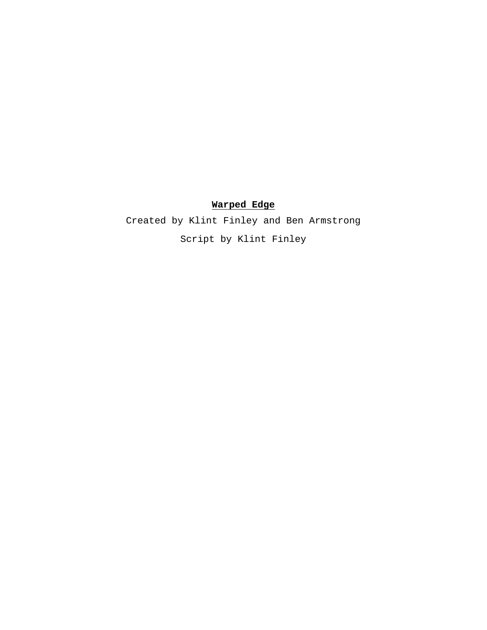# **Warped Edge**

Created by Klint Finley and Ben Armstrong Script by Klint Finley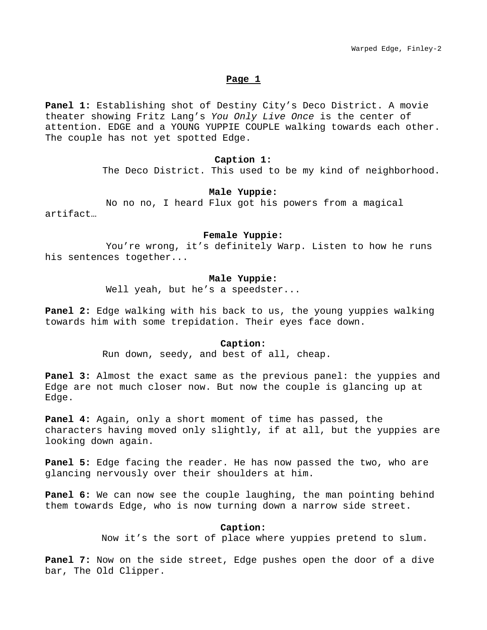**Panel 1:** Establishing shot of Destiny City's Deco District. A movie theater showing Fritz Lang's *You Only Live Once* is the center of attention. EDGE and a YOUNG YUPPIE COUPLE walking towards each other. The couple has not yet spotted Edge.

## **Caption 1:**

The Deco District. This used to be my kind of neighborhood.

## **Male Yuppie:**

No no no, I heard Flux got his powers from a magical artifact…

## **Female Yuppie:**

You're wrong, it's definitely Warp. Listen to how he runs his sentences together...

### **Male Yuppie:**

Well yeah, but he's a speedster...

**Panel 2:** Edge walking with his back to us, the young yuppies walking towards him with some trepidation. Their eyes face down.

### **Caption:**

Run down, seedy, and best of all, cheap.

**Panel 3:** Almost the exact same as the previous panel: the yuppies and Edge are not much closer now. But now the couple is glancing up at Edge.

**Panel 4:** Again, only a short moment of time has passed, the characters having moved only slightly, if at all, but the yuppies are looking down again.

**Panel 5:** Edge facing the reader. He has now passed the two, who are glancing nervously over their shoulders at him.

Panel 6: We can now see the couple laughing, the man pointing behind them towards Edge, who is now turning down a narrow side street.

## **Caption:**

Now it's the sort of place where yuppies pretend to slum.

**Panel 7:** Now on the side street, Edge pushes open the door of a dive bar, The Old Clipper.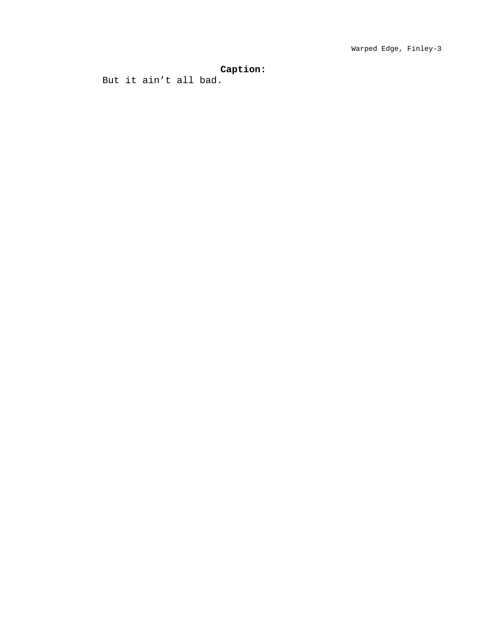# **Caption:**

But it ain't all bad.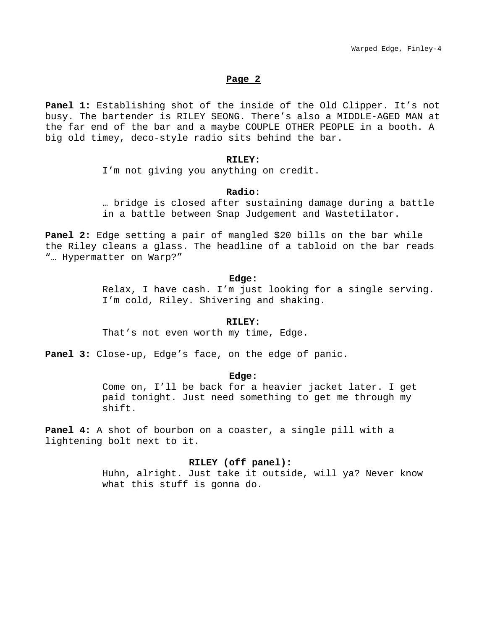**Panel 1:** Establishing shot of the inside of the Old Clipper. It's not busy. The bartender is RILEY SEONG. There's also a MIDDLE-AGED MAN at the far end of the bar and a maybe COUPLE OTHER PEOPLE in a booth. A big old timey, deco-style radio sits behind the bar.

## **RILEY:**

I'm not giving you anything on credit.

## **Radio:**

… bridge is closed after sustaining damage during a battle in a battle between Snap Judgement and Wastetilator.

**Panel 2:** Edge setting a pair of mangled \$20 bills on the bar while the Riley cleans a glass. The headline of a tabloid on the bar reads "… Hypermatter on Warp?"

#### **Edge:**

Relax, I have cash. I'm just looking for a single serving. I'm cold, Riley. Shivering and shaking.

### **RILEY:**

That's not even worth my time, Edge.

**Panel 3:** Close-up, Edge's face, on the edge of panic.

### **Edge:**

Come on, I'll be back for a heavier jacket later. I get paid tonight. Just need something to get me through my shift.

**Panel 4:** A shot of bourbon on a coaster, a single pill with a lightening bolt next to it.

## **RILEY (off panel):**

Huhn, alright. Just take it outside, will ya? Never know what this stuff is gonna do.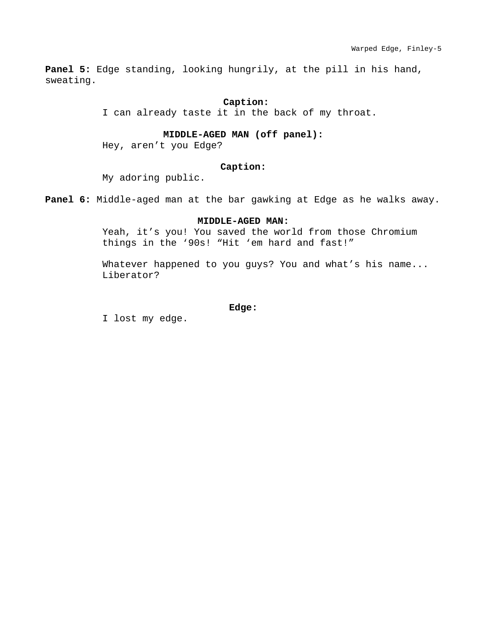**Panel 5:** Edge standing, looking hungrily, at the pill in his hand, sweating.

## **Caption:**

I can already taste it in the back of my throat.

## **MIDDLE-AGED MAN (off panel):**

Hey, aren't you Edge?

## **Caption:**

My adoring public.

**Panel 6:** Middle-aged man at the bar gawking at Edge as he walks away.

## **MIDDLE-AGED MAN:**

Yeah, it's you! You saved the world from those Chromium things in the '90s! "Hit 'em hard and fast!"

Whatever happened to you guys? You and what's his name... Liberator?

### **Edge:**

I lost my edge.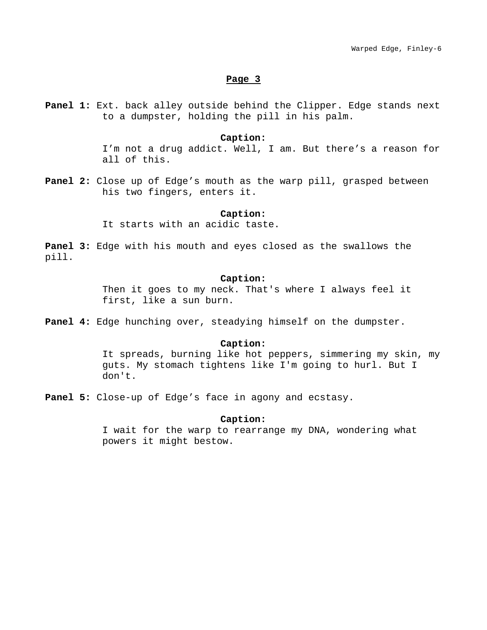**Panel 1:** Ext. back alley outside behind the Clipper. Edge stands next to a dumpster, holding the pill in his palm.

### **Caption:**

I'm not a drug addict. Well, I am. But there's a reason for all of this.

**Panel 2:** Close up of Edge's mouth as the warp pill, grasped between his two fingers, enters it.

## **Caption:**

It starts with an acidic taste.

**Panel 3:** Edge with his mouth and eyes closed as the swallows the pill.

## **Caption:**

Then it goes to my neck. That's where I always feel it first, like a sun burn.

**Panel 4:** Edge hunching over, steadying himself on the dumpster.

## **Caption:**

It spreads, burning like hot peppers, simmering my skin, my guts. My stomach tightens like I'm going to hurl. But I don't.

**Panel 5:** Close-up of Edge's face in agony and ecstasy.

## **Caption:**

I wait for the warp to rearrange my DNA, wondering what powers it might bestow.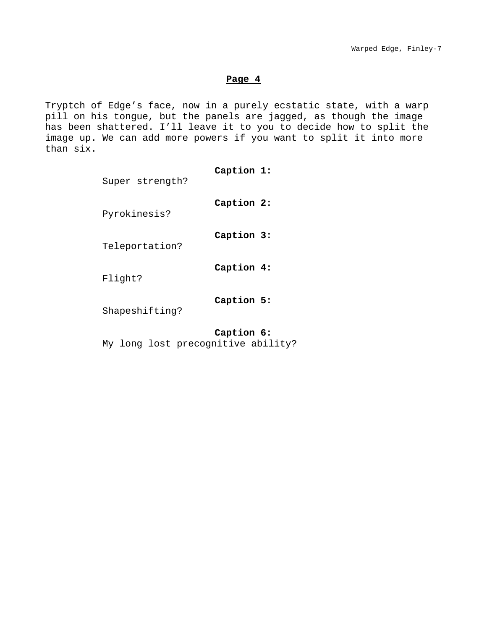Tryptch of Edge's face, now in a purely ecstatic state, with a warp pill on his tongue, but the panels are jagged, as though the image has been shattered. I'll leave it to you to decide how to split the image up. We can add more powers if you want to split it into more than six.

| Super strength? | Caption 1: |
|-----------------|------------|
| Pyrokinesis?    | Caption 2: |
| Teleportation?  | Caption 3: |
| Flight?         | Caption 4: |
| Shapeshifting?  | Caption 5: |

**Caption 6:** My long lost precognitive ability?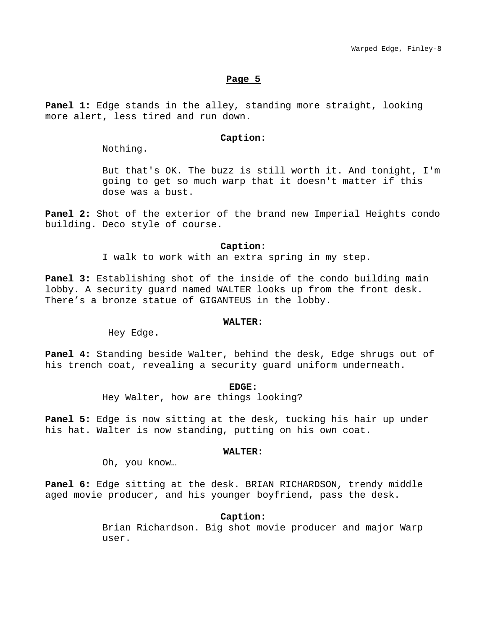**Panel 1:** Edge stands in the alley, standing more straight, looking more alert, less tired and run down.

### **Caption:**

Nothing.

But that's OK. The buzz is still worth it. And tonight, I'm going to get so much warp that it doesn't matter if this dose was a bust.

**Panel 2:** Shot of the exterior of the brand new Imperial Heights condo building. Deco style of course.

### **Caption:**

I walk to work with an extra spring in my step.

**Panel 3:** Establishing shot of the inside of the condo building main lobby. A security guard named WALTER looks up from the front desk. There's a bronze statue of GIGANTEUS in the lobby.

#### **WALTER:**

Hey Edge.

**Panel 4:** Standing beside Walter, behind the desk, Edge shrugs out of his trench coat, revealing a security guard uniform underneath.

## **EDGE:**

Hey Walter, how are things looking?

**Panel 5:** Edge is now sitting at the desk, tucking his hair up under his hat. Walter is now standing, putting on his own coat.

### **WALTER:**

Oh, you know…

**Panel 6:** Edge sitting at the desk. BRIAN RICHARDSON, trendy middle aged movie producer, and his younger boyfriend, pass the desk.

## **Caption:**

Brian Richardson. Big shot movie producer and major Warp user.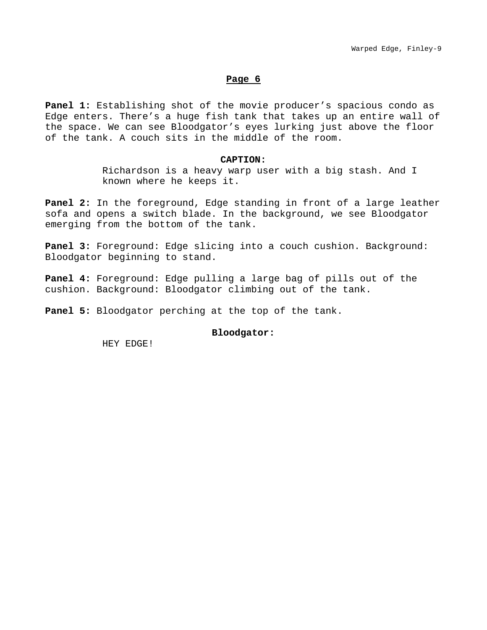**Panel 1:** Establishing shot of the movie producer's spacious condo as Edge enters. There's a huge fish tank that takes up an entire wall of the space. We can see Bloodgator's eyes lurking just above the floor of the tank. A couch sits in the middle of the room.

### **CAPTION:**

Richardson is a heavy warp user with a big stash. And I known where he keeps it.

**Panel 2:** In the foreground, Edge standing in front of a large leather sofa and opens a switch blade. In the background, we see Bloodgator emerging from the bottom of the tank.

**Panel 3:** Foreground: Edge slicing into a couch cushion. Background: Bloodgator beginning to stand.

**Panel 4:** Foreground: Edge pulling a large bag of pills out of the cushion. Background: Bloodgator climbing out of the tank.

**Panel 5:** Bloodgator perching at the top of the tank.

### **Bloodgator:**

HEY EDGE!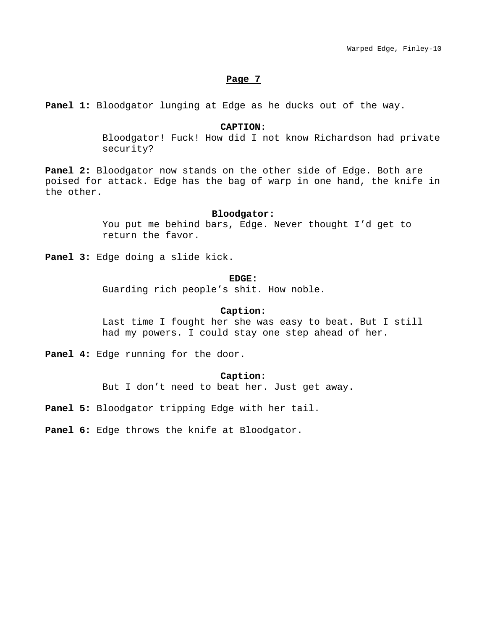**Panel 1:** Bloodgator lunging at Edge as he ducks out of the way.

## **CAPTION:**

Bloodgator! Fuck! How did I not know Richardson had private security?

**Panel 2:** Bloodgator now stands on the other side of Edge. Both are poised for attack. Edge has the bag of warp in one hand, the knife in the other.

### **Bloodgator:**

You put me behind bars, Edge. Never thought I'd get to return the favor.

**Panel 3:** Edge doing a slide kick.

### **EDGE:**

Guarding rich people's shit. How noble.

## **Caption:**

Last time I fought her she was easy to beat. But I still had my powers. I could stay one step ahead of her.

**Panel 4:** Edge running for the door.

### **Caption:**

But I don't need to beat her. Just get away.

**Panel 5:** Bloodgator tripping Edge with her tail.

**Panel 6:** Edge throws the knife at Bloodgator.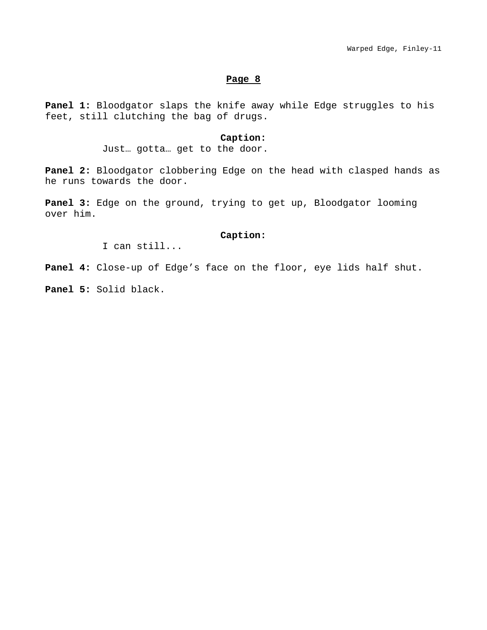**Panel 1:** Bloodgator slaps the knife away while Edge struggles to his feet, still clutching the bag of drugs.

## **Caption:**

Just… gotta… get to the door.

**Panel 2:** Bloodgator clobbering Edge on the head with clasped hands as he runs towards the door.

**Panel 3:** Edge on the ground, trying to get up, Bloodgator looming over him.

## **Caption:**

I can still...

**Panel 4:** Close-up of Edge's face on the floor, eye lids half shut.

**Panel 5:** Solid black.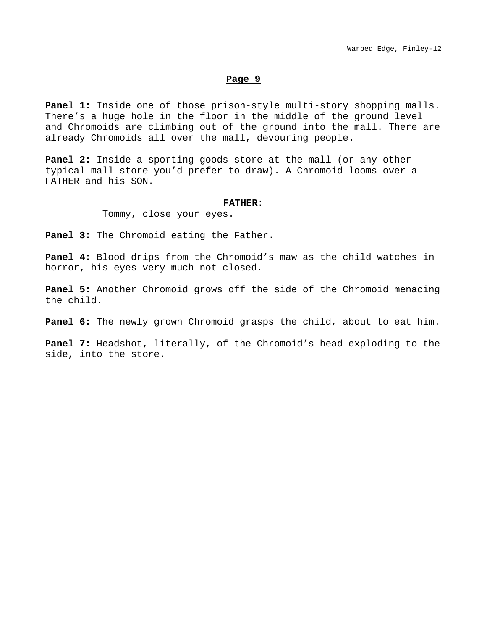**Panel 1:** Inside one of those prison-style multi-story shopping malls. There's a huge hole in the floor in the middle of the ground level and Chromoids are climbing out of the ground into the mall. There are already Chromoids all over the mall, devouring people.

**Panel 2:** Inside a sporting goods store at the mall (or any other typical mall store you'd prefer to draw). A Chromoid looms over a FATHER and his SON.

#### **FATHER:**

Tommy, close your eyes.

**Panel 3:** The Chromoid eating the Father.

**Panel 4:** Blood drips from the Chromoid's maw as the child watches in horror, his eyes very much not closed.

**Panel 5:** Another Chromoid grows off the side of the Chromoid menacing the child.

**Panel 6:** The newly grown Chromoid grasps the child, about to eat him.

**Panel 7:** Headshot, literally, of the Chromoid's head exploding to the side, into the store.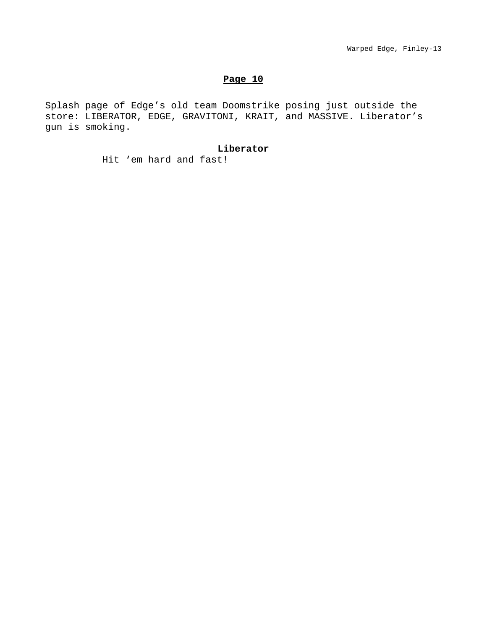Splash page of Edge's old team Doomstrike posing just outside the store: LIBERATOR, EDGE, GRAVITONI, KRAIT, and MASSIVE. Liberator's gun is smoking.

## **Liberator**

Hit 'em hard and fast!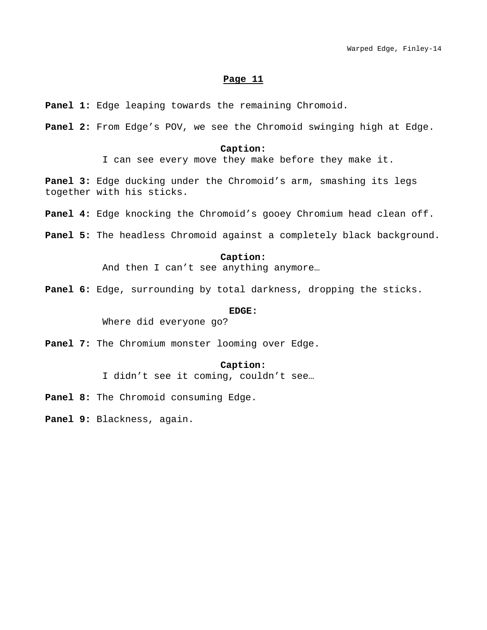Panel 1: Edge leaping towards the remaining Chromoid.

**Panel 2:** From Edge's POV, we see the Chromoid swinging high at Edge.

### **Caption:**

I can see every move they make before they make it.

**Panel 3:** Edge ducking under the Chromoid's arm, smashing its legs together with his sticks.

**Panel 4:** Edge knocking the Chromoid's gooey Chromium head clean off.

**Panel 5:** The headless Chromoid against a completely black background.

## **Caption:**

And then I can't see anything anymore…

**Panel 6:** Edge, surrounding by total darkness, dropping the sticks.

#### **EDGE:**

Where did everyone go?

Panel 7: The Chromium monster looming over Edge.

## **Caption:**

I didn't see it coming, couldn't see…

**Panel 8:** The Chromoid consuming Edge.

**Panel 9:** Blackness, again.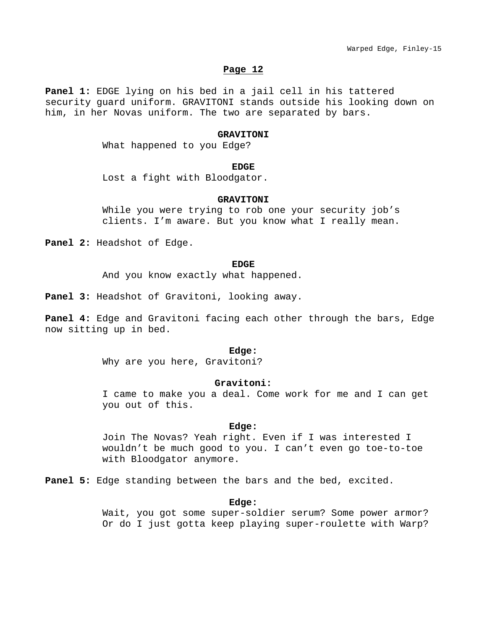Warped Edge, Finley-15

## **Page 12**

**Panel 1:** EDGE lying on his bed in a jail cell in his tattered security guard uniform. GRAVITONI stands outside his looking down on him, in her Novas uniform. The two are separated by bars.

### **GRAVITONI**

What happened to you Edge?

#### **EDGE**

Lost a fight with Bloodgator.

#### **GRAVITONI**

While you were trying to rob one your security job's clients. I'm aware. But you know what I really mean.

**Panel 2:** Headshot of Edge.

#### **EDGE**

And you know exactly what happened.

**Panel 3:** Headshot of Gravitoni, looking away.

**Panel 4:** Edge and Gravitoni facing each other through the bars, Edge now sitting up in bed.

#### **Edge:**

Why are you here, Gravitoni?

### **Gravitoni:**

I came to make you a deal. Come work for me and I can get you out of this.

### **Edge:**

Join The Novas? Yeah right. Even if I was interested I wouldn't be much good to you. I can't even go toe-to-toe with Bloodgator anymore.

**Panel 5:** Edge standing between the bars and the bed, excited.

## **Edge:**

Wait, you got some super-soldier serum? Some power armor? Or do I just gotta keep playing super-roulette with Warp?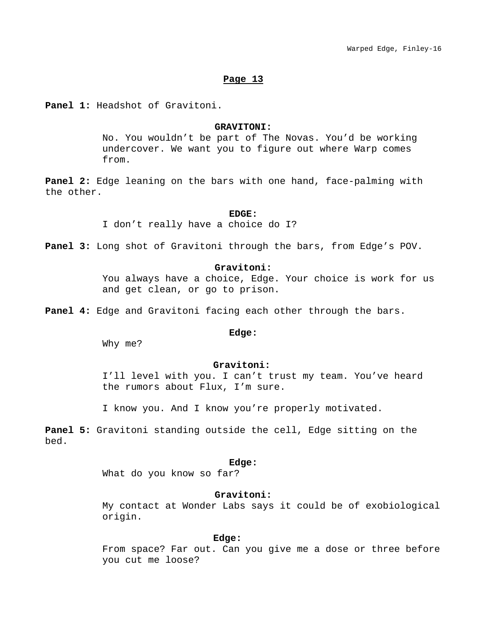**Panel 1:** Headshot of Gravitoni.

## **GRAVITONI:**

No. You wouldn't be part of The Novas. You'd be working undercover. We want you to figure out where Warp comes from.

**Panel 2:** Edge leaning on the bars with one hand, face-palming with the other.

#### **EDGE:**

I don't really have a choice do I?

**Panel 3:** Long shot of Gravitoni through the bars, from Edge's POV.

## **Gravitoni:**

You always have a choice, Edge. Your choice is work for us and get clean, or go to prison.

**Panel 4:** Edge and Gravitoni facing each other through the bars.

### **Edge:**

Why me?

#### **Gravitoni:**

I'll level with you. I can't trust my team. You've heard the rumors about Flux, I'm sure.

I know you. And I know you're properly motivated.

**Panel 5:** Gravitoni standing outside the cell, Edge sitting on the bed.

#### **Edge:**

What do you know so far?

### **Gravitoni:**

My contact at Wonder Labs says it could be of exobiological origin.

#### **Edge:**

From space? Far out. Can you give me a dose or three before you cut me loose?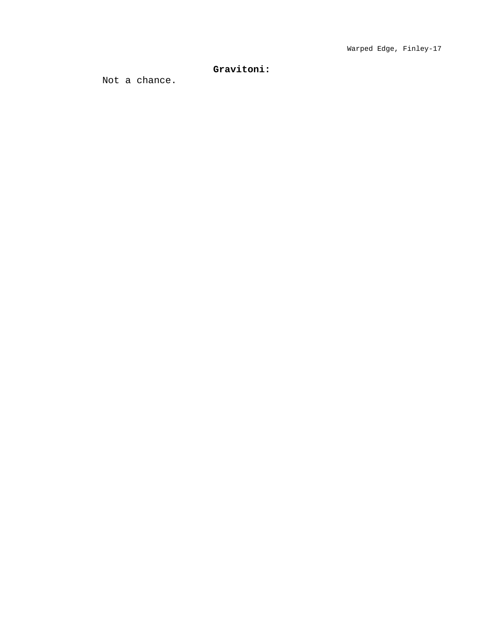# **Gravitoni:**

Not a chance.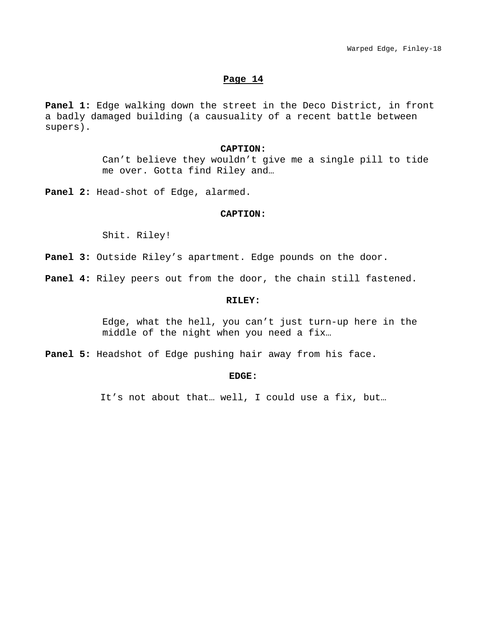**Panel 1:** Edge walking down the street in the Deco District, in front a badly damaged building (a causuality of a recent battle between supers).

### **CAPTION:**

Can't believe they wouldn't give me a single pill to tide me over. Gotta find Riley and…

**Panel 2:** Head-shot of Edge, alarmed.

### **CAPTION:**

Shit. Riley!

**Panel 3:** Outside Riley's apartment. Edge pounds on the door.

**Panel 4:** Riley peers out from the door, the chain still fastened.

#### **RILEY:**

Edge, what the hell, you can't just turn-up here in the middle of the night when you need a fix…

**Panel 5:** Headshot of Edge pushing hair away from his face.

### **EDGE:**

It's not about that… well, I could use a fix, but…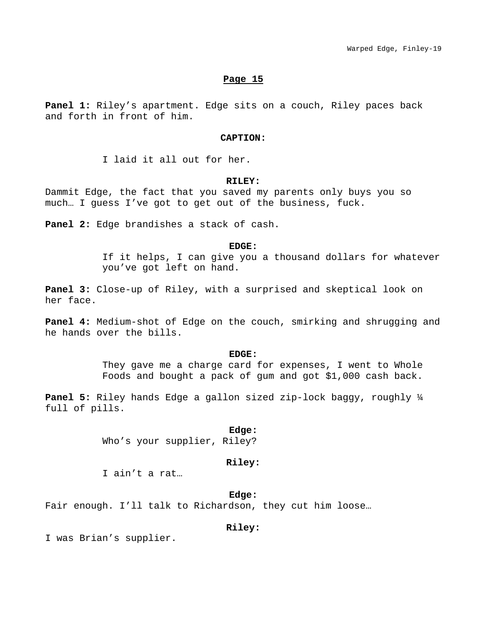**Panel 1:** Riley's apartment. Edge sits on a couch, Riley paces back and forth in front of him.

### **CAPTION:**

I laid it all out for her.

#### **RILEY:**

Dammit Edge, the fact that you saved my parents only buys you so much… I guess I've got to get out of the business, fuck.

**Panel 2:** Edge brandishes a stack of cash.

#### **EDGE:**

If it helps, I can give you a thousand dollars for whatever you've got left on hand.

**Panel 3:** Close-up of Riley, with a surprised and skeptical look on her face.

**Panel 4:** Medium-shot of Edge on the couch, smirking and shrugging and he hands over the bills.

#### **EDGE:**

They gave me a charge card for expenses, I went to Whole Foods and bought a pack of gum and got \$1,000 cash back.

**Panel 5:** Riley hands Edge a gallon sized zip-lock baggy, roughly ¼ full of pills.

#### **Edge:**

Who's your supplier, Riley?

#### **Riley:**

I ain't a rat…

### **Edge:**

Fair enough. I'll talk to Richardson, they cut him loose…

### **Riley:**

I was Brian's supplier.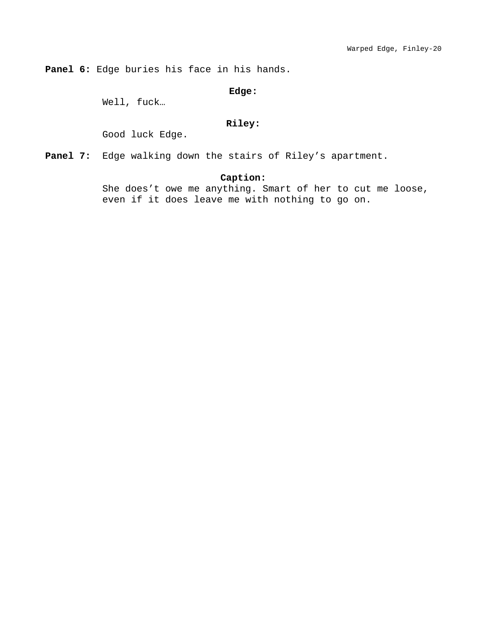**Panel 6:** Edge buries his face in his hands.

## **Edge:**

Well, fuck…

## **Riley:**

Good luck Edge.

Panel 7: Edge walking down the stairs of Riley's apartment.

## **Caption:**

She does't owe me anything. Smart of her to cut me loose, even if it does leave me with nothing to go on.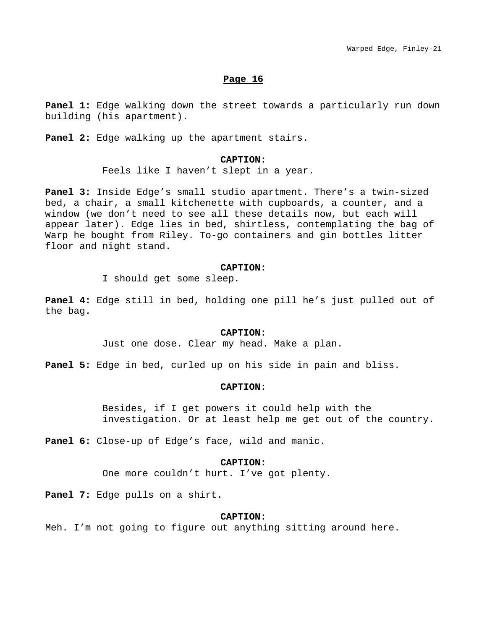**Panel 1:** Edge walking down the street towards a particularly run down building (his apartment).

**Panel 2:** Edge walking up the apartment stairs.

### **CAPTION:**

Feels like I haven't slept in a year.

**Panel 3:** Inside Edge's small studio apartment. There's a twin-sized bed, a chair, a small kitchenette with cupboards, a counter, and a window (we don't need to see all these details now, but each will appear later). Edge lies in bed, shirtless, contemplating the bag of Warp he bought from Riley. To-go containers and gin bottles litter floor and night stand.

#### **CAPTION:**

I should get some sleep.

**Panel 4:** Edge still in bed, holding one pill he's just pulled out of the bag.

### **CAPTION:**

Just one dose. Clear my head. Make a plan.

**Panel 5:** Edge in bed, curled up on his side in pain and bliss.

### **CAPTION:**

Besides, if I get powers it could help with the investigation. Or at least help me get out of the country.

**Panel 6:** Close-up of Edge's face, wild and manic.

#### **CAPTION:**

One more couldn't hurt. I've got plenty.

**Panel 7:** Edge pulls on a shirt.

### **CAPTION:**

Meh. I'm not going to figure out anything sitting around here.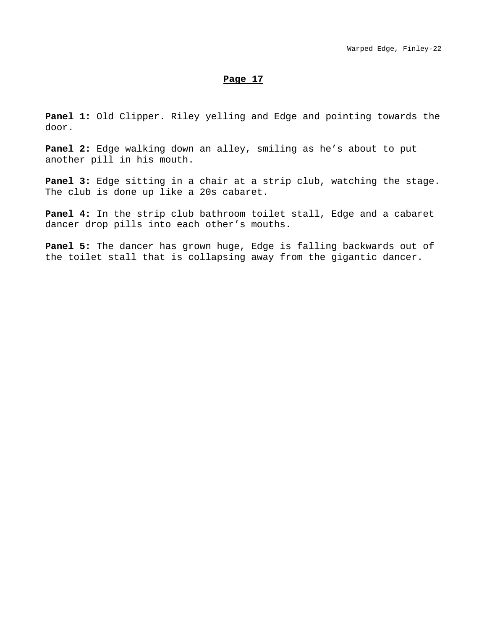**Panel 1:** Old Clipper. Riley yelling and Edge and pointing towards the door.

**Panel 2:** Edge walking down an alley, smiling as he's about to put another pill in his mouth.

**Panel 3:** Edge sitting in a chair at a strip club, watching the stage. The club is done up like a 20s cabaret.

**Panel 4:** In the strip club bathroom toilet stall, Edge and a cabaret dancer drop pills into each other's mouths.

**Panel 5:** The dancer has grown huge, Edge is falling backwards out of the toilet stall that is collapsing away from the gigantic dancer.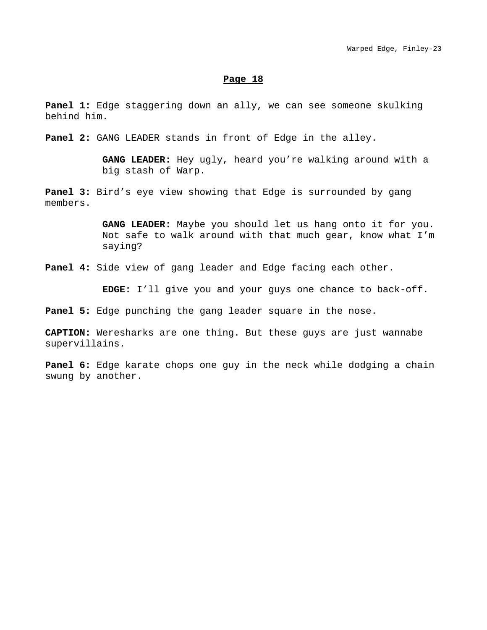**Panel 1:** Edge staggering down an ally, we can see someone skulking behind him.

**Panel 2:** GANG LEADER stands in front of Edge in the alley.

**GANG LEADER:** Hey ugly, heard you're walking around with a big stash of Warp.

**Panel 3:** Bird's eye view showing that Edge is surrounded by gang members.

> **GANG LEADER:** Maybe you should let us hang onto it for you. Not safe to walk around with that much gear, know what I'm saying?

**Panel 4:** Side view of gang leader and Edge facing each other.

**EDGE:** I'll give you and your guys one chance to back-off.

**Panel 5:** Edge punching the gang leader square in the nose.

**CAPTION:** Weresharks are one thing. But these guys are just wannabe supervillains.

**Panel 6:** Edge karate chops one guy in the neck while dodging a chain swung by another.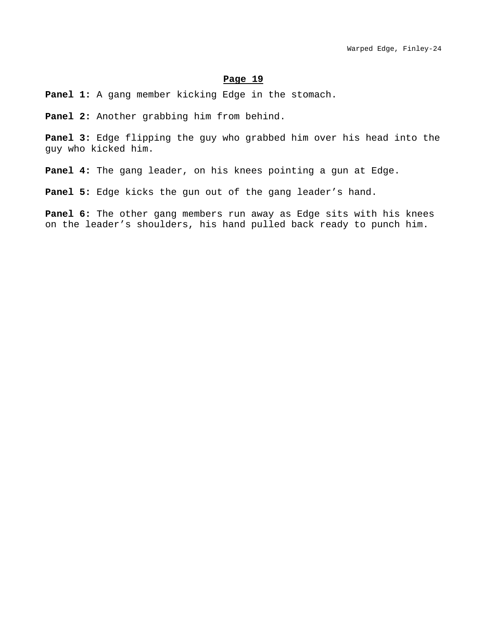**Panel 1:** A gang member kicking Edge in the stomach.

**Panel 2:** Another grabbing him from behind.

**Panel 3:** Edge flipping the guy who grabbed him over his head into the guy who kicked him.

**Panel 4:** The gang leader, on his knees pointing a gun at Edge.

**Panel 5:** Edge kicks the gun out of the gang leader's hand.

**Panel 6:** The other gang members run away as Edge sits with his knees on the leader's shoulders, his hand pulled back ready to punch him.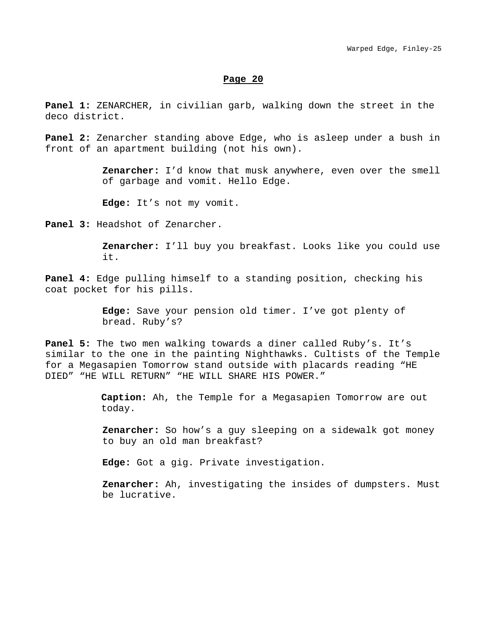**Panel 1:** ZENARCHER, in civilian garb, walking down the street in the deco district.

**Panel 2:** Zenarcher standing above Edge, who is asleep under a bush in front of an apartment building (not his own).

> **Zenarcher:** I'd know that musk anywhere, even over the smell of garbage and vomit. Hello Edge.

**Edge:** It's not my vomit.

**Panel 3:** Headshot of Zenarcher.

**Zenarcher:** I'll buy you breakfast. Looks like you could use it.

**Panel 4:** Edge pulling himself to a standing position, checking his coat pocket for his pills.

> **Edge:** Save your pension old timer. I've got plenty of bread. Ruby's?

**Panel 5:** The two men walking towards a diner called Ruby's. It's similar to the one in the painting Nighthawks. Cultists of the Temple for a Megasapien Tomorrow stand outside with placards reading "HE DIED" "HE WILL RETURN" "HE WILL SHARE HIS POWER."

> **Caption:** Ah, the Temple for a Megasapien Tomorrow are out today.

**Zenarcher:** So how's a guy sleeping on a sidewalk got money to buy an old man breakfast?

**Edge:** Got a gig. Private investigation.

**Zenarcher:** Ah, investigating the insides of dumpsters. Must be lucrative.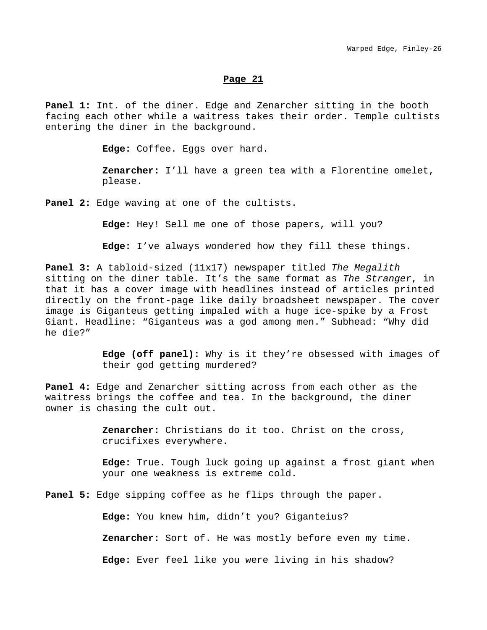**Panel 1:** Int. of the diner. Edge and Zenarcher sitting in the booth facing each other while a waitress takes their order. Temple cultists entering the diner in the background.

**Edge:** Coffee. Eggs over hard.

**Zenarcher:** I'll have a green tea with a Florentine omelet, please.

**Panel 2:** Edge waving at one of the cultists.

**Edge:** Hey! Sell me one of those papers, will you?

**Edge:** I've always wondered how they fill these things.

**Panel 3:** A tabloid-sized (11x17) newspaper titled *The Megalith* sitting on the diner table. It's the same format as *The Stranger*, in that it has a cover image with headlines instead of articles printed directly on the front-page like daily broadsheet newspaper. The cover image is Giganteus getting impaled with a huge ice-spike by a Frost Giant. Headline: "Giganteus was a god among men." Subhead: "Why did he die?"

> **Edge (off panel):** Why is it they're obsessed with images of their god getting murdered?

**Panel 4:** Edge and Zenarcher sitting across from each other as the waitress brings the coffee and tea. In the background, the diner owner is chasing the cult out.

> **Zenarcher:** Christians do it too. Christ on the cross, crucifixes everywhere.

**Edge:** True. Tough luck going up against a frost giant when your one weakness is extreme cold.

**Panel 5:** Edge sipping coffee as he flips through the paper.

**Edge:** You knew him, didn't you? Giganteius?

**Zenarcher:** Sort of. He was mostly before even my time.

**Edge:** Ever feel like you were living in his shadow?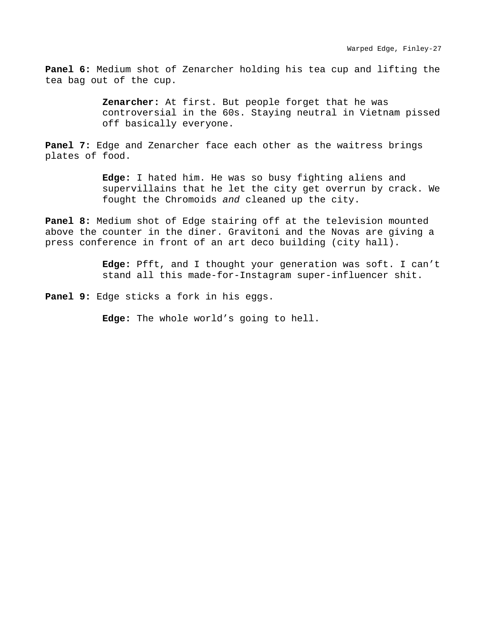**Panel 6:** Medium shot of Zenarcher holding his tea cup and lifting the tea bag out of the cup.

> **Zenarcher:** At first. But people forget that he was controversial in the 60s. Staying neutral in Vietnam pissed off basically everyone.

**Panel 7:** Edge and Zenarcher face each other as the waitress brings plates of food.

> **Edge:** I hated him. He was so busy fighting aliens and supervillains that he let the city get overrun by crack. We fought the Chromoids *and* cleaned up the city.

**Panel 8:** Medium shot of Edge stairing off at the television mounted above the counter in the diner. Gravitoni and the Novas are giving a press conference in front of an art deco building (city hall).

> **Edge:** Pfft, and I thought your generation was soft. I can't stand all this made-for-Instagram super-influencer shit.

**Panel 9:** Edge sticks a fork in his eggs.

**Edge:** The whole world's going to hell.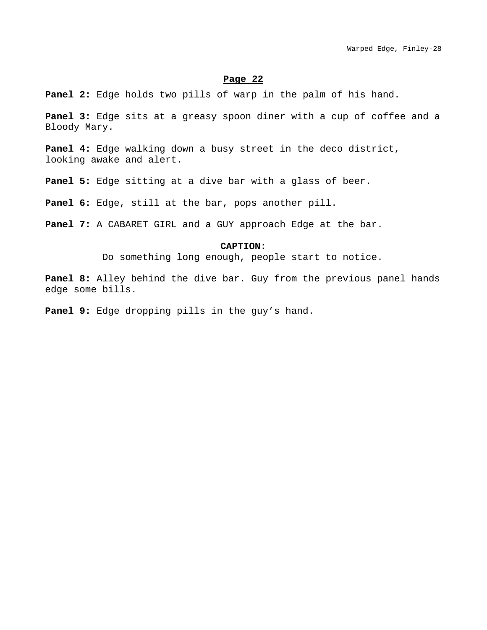**Panel 2:** Edge holds two pills of warp in the palm of his hand.

**Panel 3:** Edge sits at a greasy spoon diner with a cup of coffee and a Bloody Mary.

**Panel 4:** Edge walking down a busy street in the deco district, looking awake and alert.

**Panel 5:** Edge sitting at a dive bar with a glass of beer.

**Panel 6:** Edge, still at the bar, pops another pill.

**Panel 7:** A CABARET GIRL and a GUY approach Edge at the bar.

### **CAPTION:**

Do something long enough, people start to notice.

**Panel 8:** Alley behind the dive bar. Guy from the previous panel hands edge some bills.

**Panel 9:** Edge dropping pills in the guy's hand.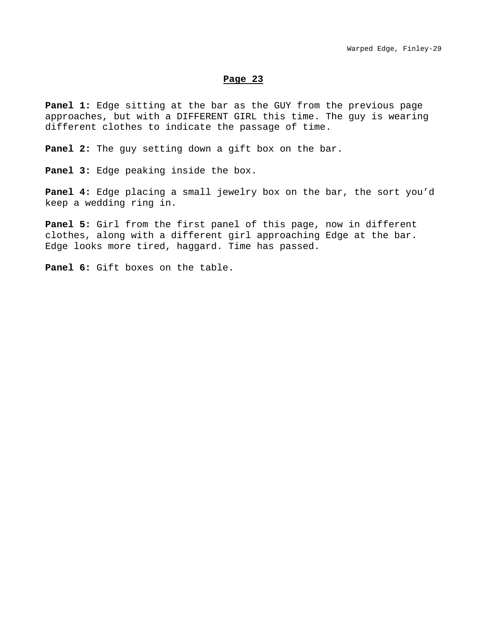**Panel 1:** Edge sitting at the bar as the GUY from the previous page approaches, but with a DIFFERENT GIRL this time. The guy is wearing different clothes to indicate the passage of time.

**Panel 2:** The guy setting down a gift box on the bar.

**Panel 3:** Edge peaking inside the box.

**Panel 4:** Edge placing a small jewelry box on the bar, the sort you'd keep a wedding ring in.

**Panel 5:** Girl from the first panel of this page, now in different clothes, along with a different girl approaching Edge at the bar. Edge looks more tired, haggard. Time has passed.

**Panel 6:** Gift boxes on the table.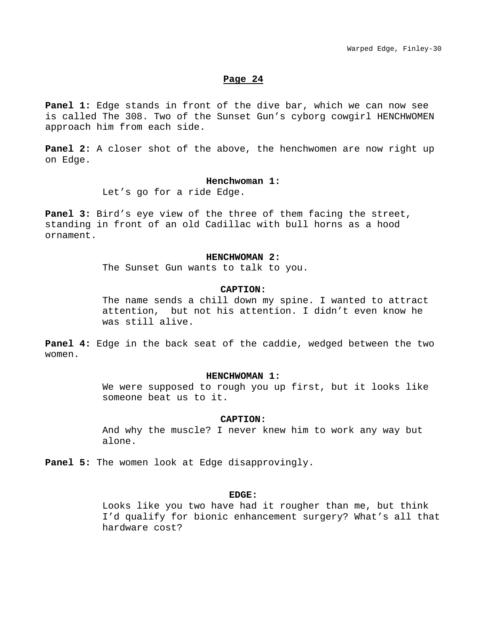**Panel 1:** Edge stands in front of the dive bar, which we can now see is called The 308. Two of the Sunset Gun's cyborg cowgirl HENCHWOMEN approach him from each side.

**Panel 2:** A closer shot of the above, the henchwomen are now right up on Edge.

### **Henchwoman 1:**

Let's go for a ride Edge.

**Panel 3:** Bird's eye view of the three of them facing the street, standing in front of an old Cadillac with bull horns as a hood ornament.

### **HENCHWOMAN 2:**

The Sunset Gun wants to talk to you.

### **CAPTION:**

The name sends a chill down my spine. I wanted to attract attention, but not his attention. I didn't even know he was still alive.

**Panel 4:** Edge in the back seat of the caddie, wedged between the two women.

### **HENCHWOMAN 1:**

We were supposed to rough you up first, but it looks like someone beat us to it.

#### **CAPTION:**

And why the muscle? I never knew him to work any way but alone.

**Panel 5:** The women look at Edge disapprovingly.

### **EDGE:**

Looks like you two have had it rougher than me, but think I'd qualify for bionic enhancement surgery? What's all that hardware cost?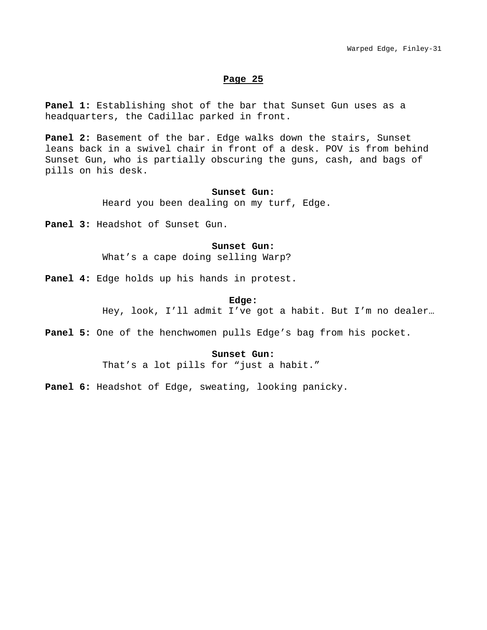**Panel 1:** Establishing shot of the bar that Sunset Gun uses as a headquarters, the Cadillac parked in front.

**Panel 2:** Basement of the bar. Edge walks down the stairs, Sunset leans back in a swivel chair in front of a desk. POV is from behind Sunset Gun, who is partially obscuring the guns, cash, and bags of pills on his desk.

### **Sunset Gun:**

Heard you been dealing on my turf, Edge.

**Panel 3:** Headshot of Sunset Gun.

#### **Sunset Gun:**

What's a cape doing selling Warp?

**Panel 4:** Edge holds up his hands in protest.

#### **Edge:**

Hey, look, I'll admit I've got a habit. But I'm no dealer…

**Panel 5:** One of the henchwomen pulls Edge's bag from his pocket.

### **Sunset Gun:**

That's a lot pills for "just a habit."

**Panel 6:** Headshot of Edge, sweating, looking panicky.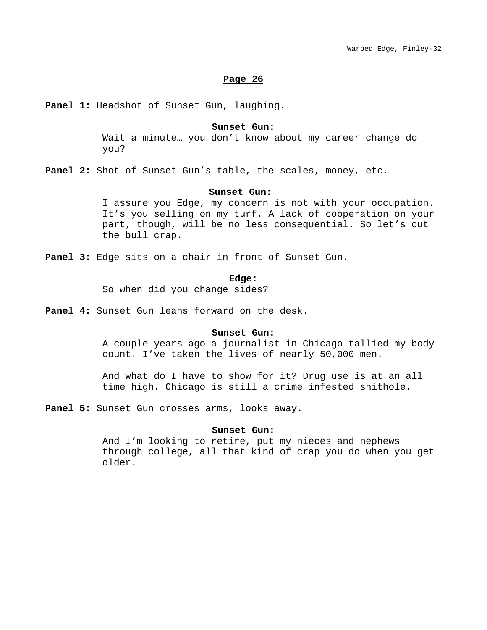**Panel 1:** Headshot of Sunset Gun, laughing.

## **Sunset Gun:**

Wait a minute… you don't know about my career change do you?

**Panel 2:** Shot of Sunset Gun's table, the scales, money, etc.

## **Sunset Gun:**

I assure you Edge, my concern is not with your occupation. It's you selling on my turf. A lack of cooperation on your part, though, will be no less consequential. So let's cut the bull crap.

**Panel 3:** Edge sits on a chair in front of Sunset Gun.

### **Edge:**

So when did you change sides?

**Panel 4:** Sunset Gun leans forward on the desk.

### **Sunset Gun:**

A couple years ago a journalist in Chicago tallied my body count. I've taken the lives of nearly 50,000 men.

And what do I have to show for it? Drug use is at an all time high. Chicago is still a crime infested shithole.

**Panel 5:** Sunset Gun crosses arms, looks away.

### **Sunset Gun:**

And I'm looking to retire, put my nieces and nephews through college, all that kind of crap you do when you get older.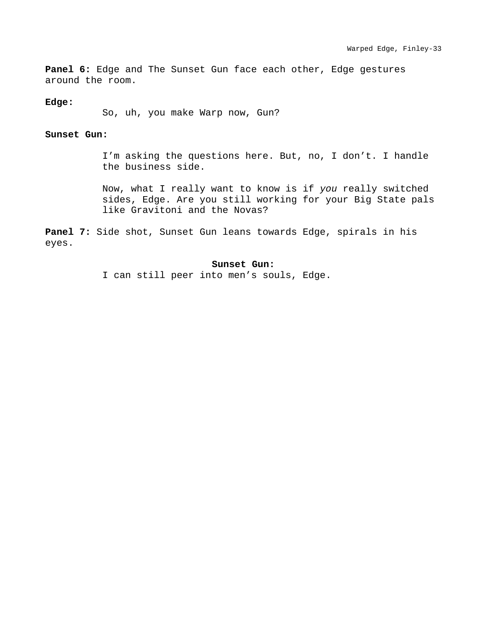**Panel 6:** Edge and The Sunset Gun face each other, Edge gestures around the room.

### **Edge:**

So, uh, you make Warp now, Gun?

## **Sunset Gun:**

I'm asking the questions here. But, no, I don't. I handle the business side.

Now, what I really want to know is if *you* really switched sides, Edge. Are you still working for your Big State pals like Gravitoni and the Novas?

**Panel 7:** Side shot, Sunset Gun leans towards Edge, spirals in his eyes.

### **Sunset Gun:**

I can still peer into men's souls, Edge.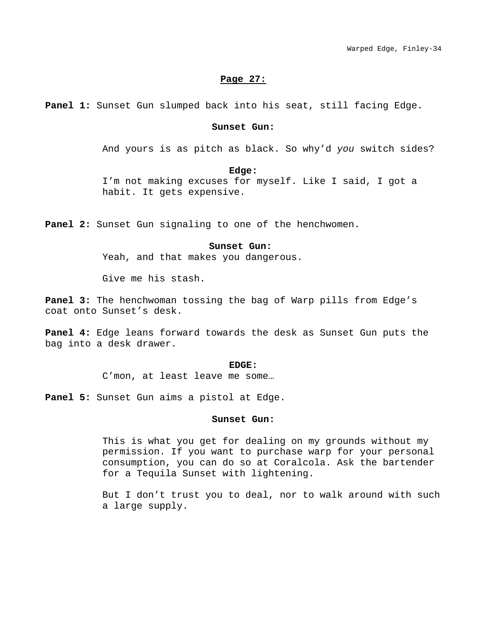# **Page 27:**

**Panel 1:** Sunset Gun slumped back into his seat, still facing Edge.

## **Sunset Gun:**

And yours is as pitch as black. So why'd *you* switch sides?

### **Edge:**

I'm not making excuses for myself. Like I said, I got a habit. It gets expensive.

**Panel 2:** Sunset Gun signaling to one of the henchwomen.

### **Sunset Gun:**

Yeah, and that makes you dangerous.

Give me his stash.

**Panel 3:** The henchwoman tossing the bag of Warp pills from Edge's coat onto Sunset's desk.

**Panel 4:** Edge leans forward towards the desk as Sunset Gun puts the bag into a desk drawer.

#### **EDGE:**

C'mon, at least leave me some…

**Panel 5:** Sunset Gun aims a pistol at Edge.

## **Sunset Gun:**

This is what you get for dealing on my grounds without my permission. If you want to purchase warp for your personal consumption, you can do so at Coralcola. Ask the bartender for a Tequila Sunset with lightening.

But I don't trust you to deal, nor to walk around with such a large supply.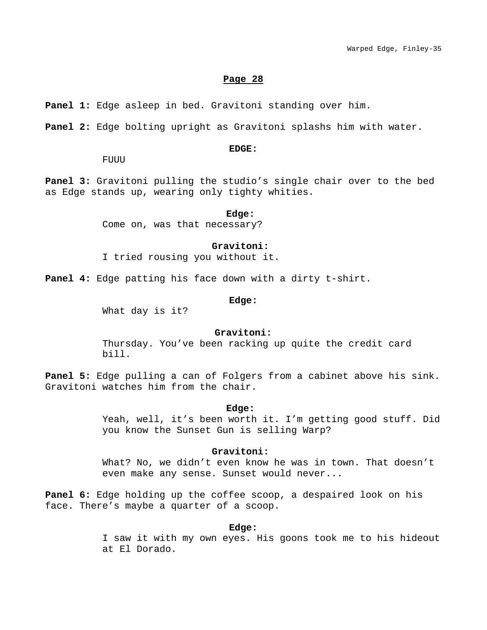**Panel 1:** Edge asleep in bed. Gravitoni standing over him.

**Panel 2:** Edge bolting upright as Gravitoni splashs him with water.

### **EDGE:**

FUUU

**Panel 3:** Gravitoni pulling the studio's single chair over to the bed as Edge stands up, wearing only tighty whities.

> **Edge:** Come on, was that necessary?

#### **Gravitoni:**

I tried rousing you without it.

**Panel 4:** Edge patting his face down with a dirty t-shirt.

#### **Edge:**

What day is it?

## **Gravitoni:**

Thursday. You've been racking up quite the credit card bill.

**Panel 5:** Edge pulling a can of Folgers from a cabinet above his sink. Gravitoni watches him from the chair.

### **Edge:**

Yeah, well, it's been worth it. I'm getting good stuff. Did you know the Sunset Gun is selling Warp?

### **Gravitoni:**

What? No, we didn't even know he was in town. That doesn't even make any sense. Sunset would never...

**Panel 6:** Edge holding up the coffee scoop, a despaired look on his face. There's maybe a quarter of a scoop.

### **Edge:**

I saw it with my own eyes. His goons took me to his hideout at El Dorado.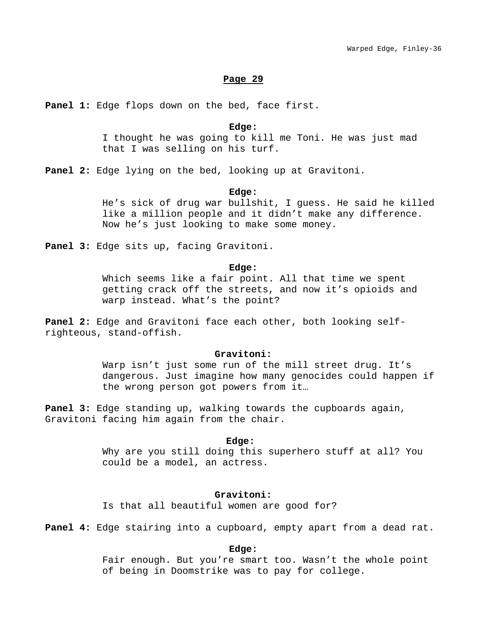**Panel 1:** Edge flops down on the bed, face first.

### **Edge:**

I thought he was going to kill me Toni. He was just mad that I was selling on his turf.

**Panel 2:** Edge lying on the bed, looking up at Gravitoni.

### **Edge:**

He's sick of drug war bullshit, I guess. He said he killed like a million people and it didn't make any difference. Now he's just looking to make some money.

**Panel 3:** Edge sits up, facing Gravitoni.

## **Edge:**

Which seems like a fair point. All that time we spent getting crack off the streets, and now it's opioids and warp instead. What's the point?

**Panel 2:** Edge and Gravitoni face each other, both looking selfrighteous, stand-offish.

## **Gravitoni:**

Warp isn't just some run of the mill street drug. It's dangerous. Just imagine how many genocides could happen if the wrong person got powers from it…

**Panel 3:** Edge standing up, walking towards the cupboards again, Gravitoni facing him again from the chair.

### **Edge:**

Why are you still doing this superhero stuff at all? You could be a model, an actress.

## **Gravitoni:**

Is that all beautiful women are good for?

**Panel 4:** Edge stairing into a cupboard, empty apart from a dead rat.

#### **Edge:**

Fair enough. But you're smart too. Wasn't the whole point of being in Doomstrike was to pay for college.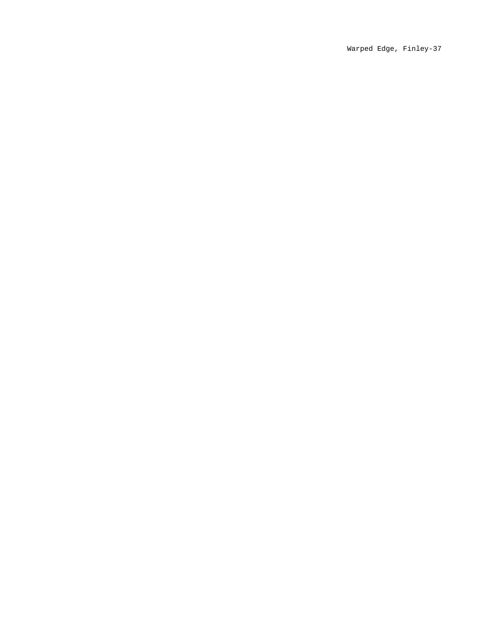Warped Edge, Finley-37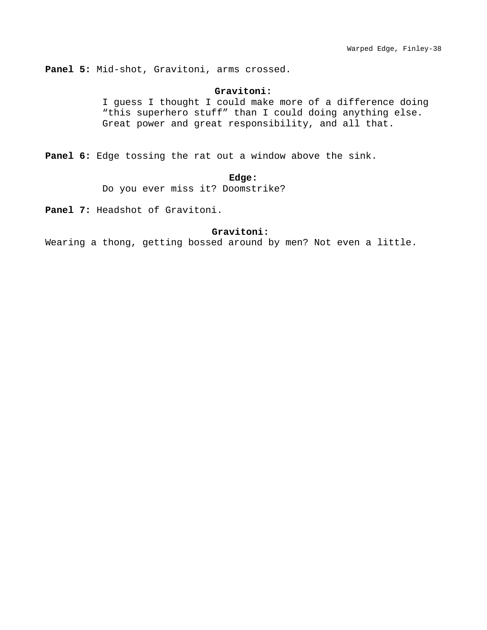Warped Edge, Finley-38

**Panel 5:** Mid-shot, Gravitoni, arms crossed.

## **Gravitoni:**

I guess I thought I could make more of a difference doing "this superhero stuff" than I could doing anything else. Great power and great responsibility, and all that.

**Panel 6:** Edge tossing the rat out a window above the sink.

## **Edge:**

Do you ever miss it? Doomstrike?

**Panel 7:** Headshot of Gravitoni.

## **Gravitoni:**

Wearing a thong, getting bossed around by men? Not even a little.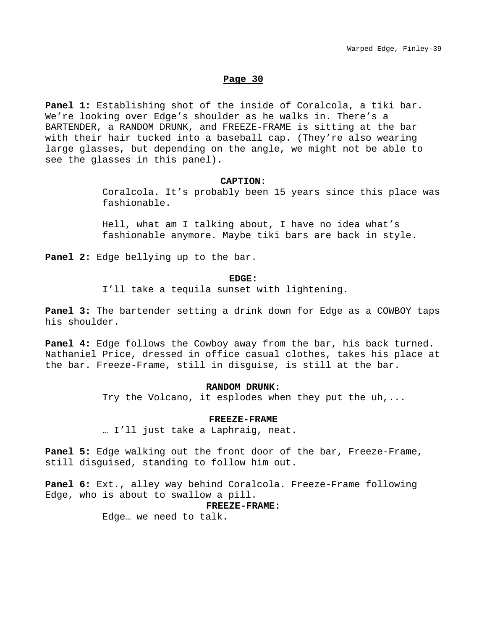**Panel 1:** Establishing shot of the inside of Coralcola, a tiki bar. We're looking over Edge's shoulder as he walks in. There's a BARTENDER, a RANDOM DRUNK, and FREEZE-FRAME is sitting at the bar with their hair tucked into a baseball cap. (They're also wearing large glasses, but depending on the angle, we might not be able to see the glasses in this panel).

#### **CAPTION:**

Coralcola. It's probably been 15 years since this place was fashionable.

Hell, what am I talking about, I have no idea what's fashionable anymore. Maybe tiki bars are back in style.

**Panel 2:** Edge bellying up to the bar.

### **EDGE:**

I'll take a tequila sunset with lightening.

**Panel 3:** The bartender setting a drink down for Edge as a COWBOY taps his shoulder.

**Panel 4:** Edge follows the Cowboy away from the bar, his back turned. Nathaniel Price, dressed in office casual clothes, takes his place at the bar. Freeze-Frame, still in disguise, is still at the bar.

### **RANDOM DRUNK:**

Try the Volcano, it esplodes when they put the uh,...

#### **FREEZE-FRAME**

… I'll just take a Laphraig, neat.

**Panel 5:** Edge walking out the front door of the bar, Freeze-Frame, still disguised, standing to follow him out.

**Panel 6:** Ext., alley way behind Coralcola. Freeze-Frame following Edge, who is about to swallow a pill.

### **FREEZE-FRAME:**

Edge… we need to talk.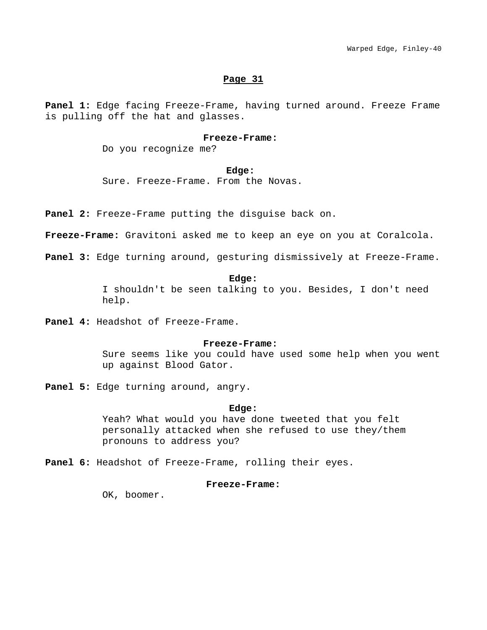**Panel 1:** Edge facing Freeze-Frame, having turned around. Freeze Frame is pulling off the hat and glasses.

#### **Freeze-Frame:**

Do you recognize me?

**Edge:** 

Sure. Freeze-Frame. From the Novas.

**Panel 2:** Freeze-Frame putting the disguise back on.

**Freeze-Frame:** Gravitoni asked me to keep an eye on you at Coralcola.

**Panel 3:** Edge turning around, gesturing dismissively at Freeze-Frame.

### **Edge:**

I shouldn't be seen talking to you. Besides, I don't need help.

**Panel 4:** Headshot of Freeze-Frame.

### **Freeze-Frame:**

Sure seems like you could have used some help when you went up against Blood Gator.

**Panel 5:** Edge turning around, angry.

## **Edge:**

Yeah? What would you have done tweeted that you felt personally attacked when she refused to use they/them pronouns to address you?

**Panel 6:** Headshot of Freeze-Frame, rolling their eyes.

## **Freeze-Frame:**

OK, boomer.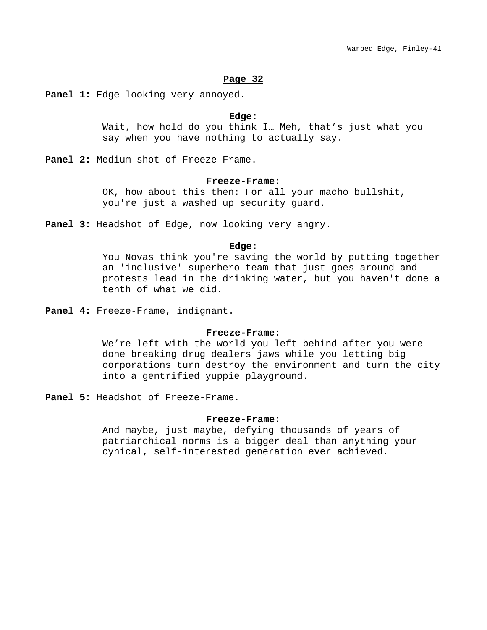**Panel 1:** Edge looking very annoyed.

### **Edge:**

Wait, how hold do you think I… Meh, that's just what you say when you have nothing to actually say.

**Panel 2:** Medium shot of Freeze-Frame.

### **Freeze-Frame:**

OK, how about this then: For all your macho bullshit, you're just a washed up security guard.

**Panel 3:** Headshot of Edge, now looking very angry.

### **Edge:**

You Novas think you're saving the world by putting together an 'inclusive' superhero team that just goes around and protests lead in the drinking water, but you haven't done a tenth of what we did.

**Panel 4:** Freeze-Frame, indignant.

### **Freeze-Frame:**

We're left with the world you left behind after you were done breaking drug dealers jaws while you letting big corporations turn destroy the environment and turn the city into a gentrified yuppie playground.

**Panel 5:** Headshot of Freeze-Frame.

## **Freeze-Frame:**

And maybe, just maybe, defying thousands of years of patriarchical norms is a bigger deal than anything your cynical, self-interested generation ever achieved.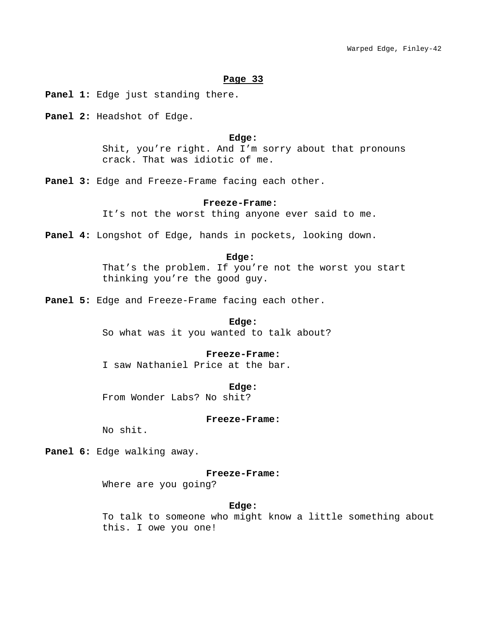**Panel 1:** Edge just standing there.

**Panel 2:** Headshot of Edge.

## **Edge:**

Shit, you're right. And I'm sorry about that pronouns crack. That was idiotic of me.

**Panel 3:** Edge and Freeze-Frame facing each other.

## **Freeze-Frame:**

It's not the worst thing anyone ever said to me.

**Panel 4:** Longshot of Edge, hands in pockets, looking down.

## **Edge:**

That's the problem. If you're not the worst you start thinking you're the good guy.

**Panel 5:** Edge and Freeze-Frame facing each other.

**Edge:**

So what was it you wanted to talk about?

## **Freeze-Frame:**

I saw Nathaniel Price at the bar.

**Edge:**

From Wonder Labs? No shit?

## **Freeze-Frame:**

No shit.

**Panel 6:** Edge walking away.

### **Freeze-Frame:**

Where are you going?

### **Edge:**

To talk to someone who might know a little something about this. I owe you one!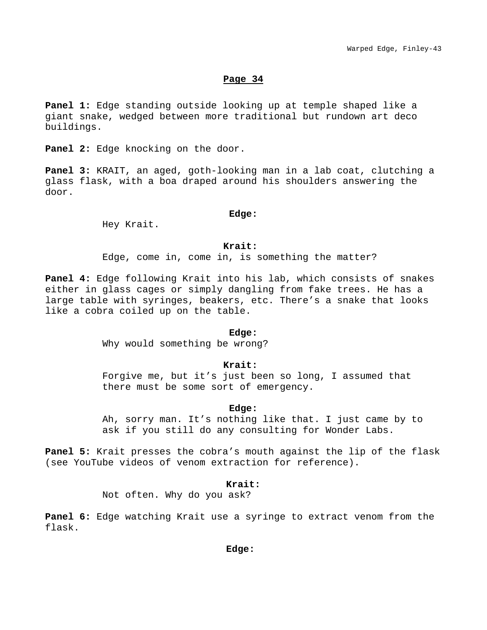**Panel 1:** Edge standing outside looking up at temple shaped like a giant snake, wedged between more traditional but rundown art deco buildings.

**Panel 2:** Edge knocking on the door.

**Panel 3:** KRAIT, an aged, goth-looking man in a lab coat, clutching a glass flask, with a boa draped around his shoulders answering the door.

#### **Edge:**

Hey Krait.

## **Krait:**

Edge, come in, come in, is something the matter?

**Panel 4:** Edge following Krait into his lab, which consists of snakes either in glass cages or simply dangling from fake trees. He has a large table with syringes, beakers, etc. There's a snake that looks like a cobra coiled up on the table.

### **Edge:**

Why would something be wrong?

### **Krait:**

Forgive me, but it's just been so long, I assumed that there must be some sort of emergency.

#### **Edge:**

Ah, sorry man. It's nothing like that. I just came by to ask if you still do any consulting for Wonder Labs.

**Panel 5:** Krait presses the cobra's mouth against the lip of the flask (see YouTube videos of venom extraction for reference).

### **Krait:**

Not often. Why do you ask?

**Panel 6:** Edge watching Krait use a syringe to extract venom from the flask.

**Edge:**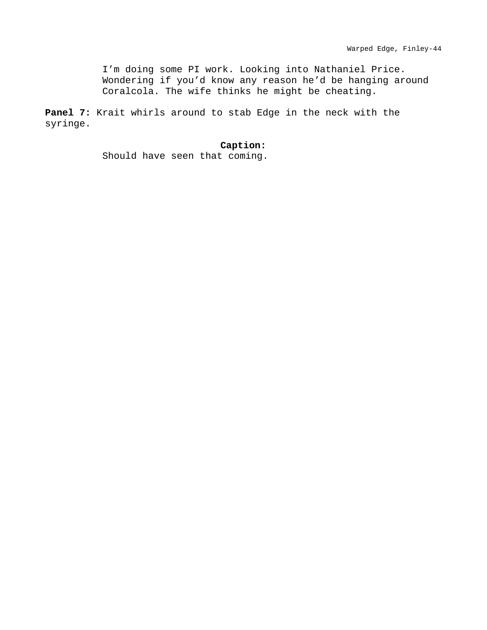Warped Edge, Finley-44

I'm doing some PI work. Looking into Nathaniel Price. Wondering if you'd know any reason he'd be hanging around Coralcola. The wife thinks he might be cheating.

**Panel 7:** Krait whirls around to stab Edge in the neck with the syringe.

> **Caption:** Should have seen that coming.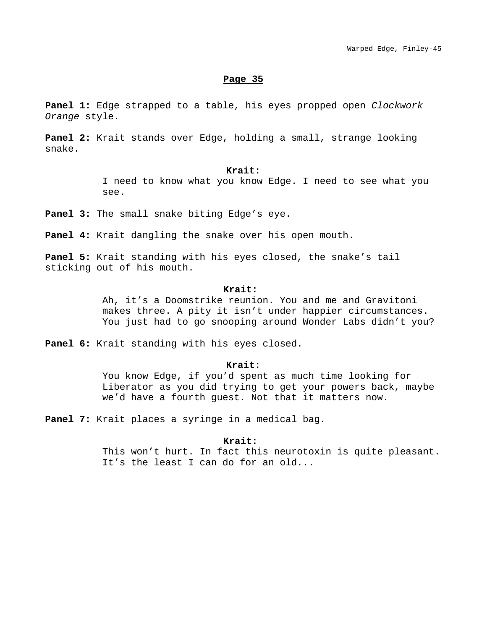**Panel 1:** Edge strapped to a table, his eyes propped open *Clockwork Orange* style.

**Panel 2:** Krait stands over Edge, holding a small, strange looking snake.

## **Krait:**

I need to know what you know Edge. I need to see what you see.

**Panel 3:** The small snake biting Edge's eye.

**Panel 4:** Krait dangling the snake over his open mouth.

**Panel 5:** Krait standing with his eyes closed, the snake's tail sticking out of his mouth.

## **Krait:**

Ah, it's a Doomstrike reunion. You and me and Gravitoni makes three. A pity it isn't under happier circumstances. You just had to go snooping around Wonder Labs didn't you?

**Panel 6:** Krait standing with his eyes closed.

### **Krait:**

You know Edge, if you'd spent as much time looking for Liberator as you did trying to get your powers back, maybe we'd have a fourth guest. Not that it matters now.

**Panel 7:** Krait places a syringe in a medical bag.

### **Krait:**

This won't hurt. In fact this neurotoxin is quite pleasant. It's the least I can do for an old...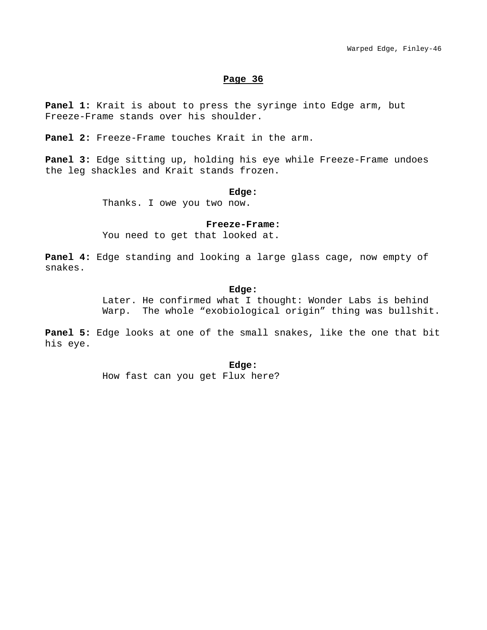**Panel 1:** Krait is about to press the syringe into Edge arm, but Freeze-Frame stands over his shoulder.

**Panel 2:** Freeze-Frame touches Krait in the arm.

**Panel 3:** Edge sitting up, holding his eye while Freeze-Frame undoes the leg shackles and Krait stands frozen.

### **Edge:**

Thanks. I owe you two now.

### **Freeze-Frame:**

You need to get that looked at.

**Panel 4:** Edge standing and looking a large glass cage, now empty of snakes.

## **Edge:**

Later. He confirmed what I thought: Wonder Labs is behind Warp. The whole "exobiological origin" thing was bullshit.

**Panel 5:** Edge looks at one of the small snakes, like the one that bit his eye.

**Edge:**

How fast can you get Flux here?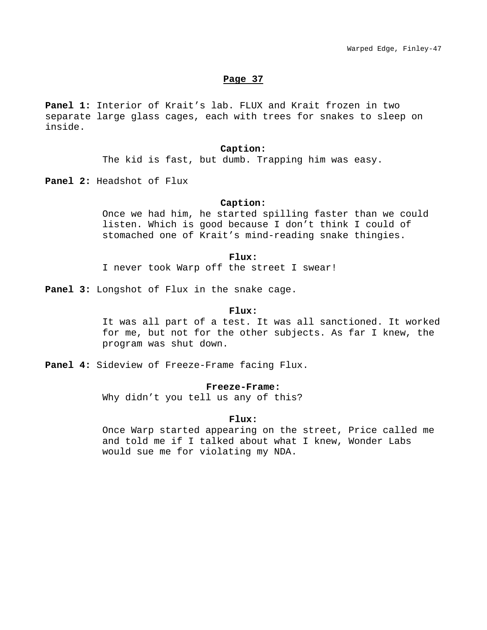**Panel 1:** Interior of Krait's lab. FLUX and Krait frozen in two separate large glass cages, each with trees for snakes to sleep on inside.

### **Caption:**

The kid is fast, but dumb. Trapping him was easy.

**Panel 2:** Headshot of Flux

### **Caption:**

Once we had him, he started spilling faster than we could listen. Which is good because I don't think I could of stomached one of Krait's mind-reading snake thingies.

### **Flux:**

I never took Warp off the street I swear!

**Panel 3:** Longshot of Flux in the snake cage.

## **Flux:**

It was all part of a test. It was all sanctioned. It worked for me, but not for the other subjects. As far I knew, the program was shut down.

**Panel 4:** Sideview of Freeze-Frame facing Flux.

### **Freeze-Frame:**

Why didn't you tell us any of this?

### **Flux:**

Once Warp started appearing on the street, Price called me and told me if I talked about what I knew, Wonder Labs would sue me for violating my NDA.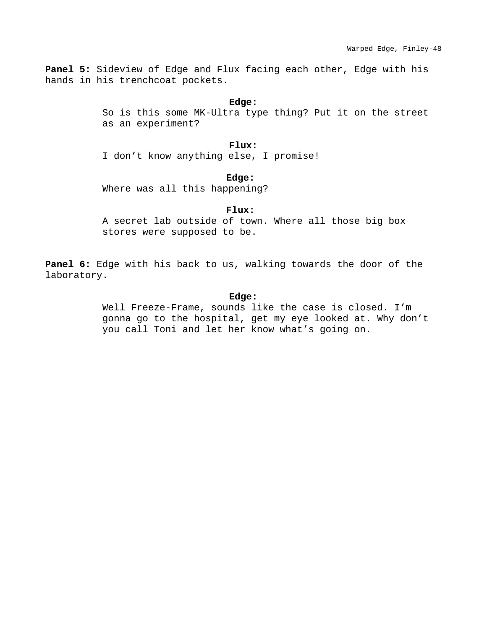**Panel 5:** Sideview of Edge and Flux facing each other, Edge with his hands in his trenchcoat pockets.

### **Edge:**

So is this some MK-Ultra type thing? Put it on the street as an experiment?

## **Flux:**

I don't know anything else, I promise!

## **Edge:**

Where was all this happening?

## **Flux:**

A secret lab outside of town. Where all those big box stores were supposed to be.

**Panel 6:** Edge with his back to us, walking towards the door of the laboratory.

## **Edge:**

Well Freeze-Frame, sounds like the case is closed. I'm gonna go to the hospital, get my eye looked at. Why don't you call Toni and let her know what's going on.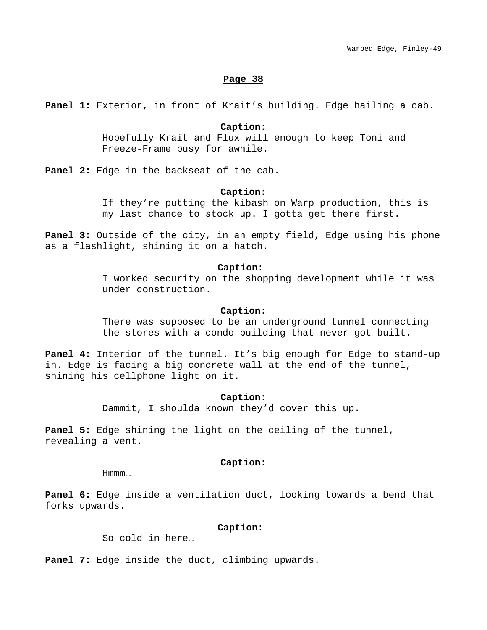**Panel 1:** Exterior, in front of Krait's building. Edge hailing a cab.

### **Caption:**

Hopefully Krait and Flux will enough to keep Toni and Freeze-Frame busy for awhile.

**Panel 2:** Edge in the backseat of the cab.

## **Caption:**

If they're putting the kibash on Warp production, this is my last chance to stock up. I gotta get there first.

**Panel 3:** Outside of the city, in an empty field, Edge using his phone as a flashlight, shining it on a hatch.

### **Caption:**

I worked security on the shopping development while it was under construction.

### **Caption:**

There was supposed to be an underground tunnel connecting the stores with a condo building that never got built.

**Panel 4:** Interior of the tunnel. It's big enough for Edge to stand-up in. Edge is facing a big concrete wall at the end of the tunnel, shining his cellphone light on it.

## **Caption:**

Dammit, I shoulda known they'd cover this up.

**Panel 5:** Edge shining the light on the ceiling of the tunnel, revealing a vent.

### **Caption:**

Hmmm…

**Panel 6:** Edge inside a ventilation duct, looking towards a bend that forks upwards.

## **Caption:**

So cold in here…

**Panel 7:** Edge inside the duct, climbing upwards.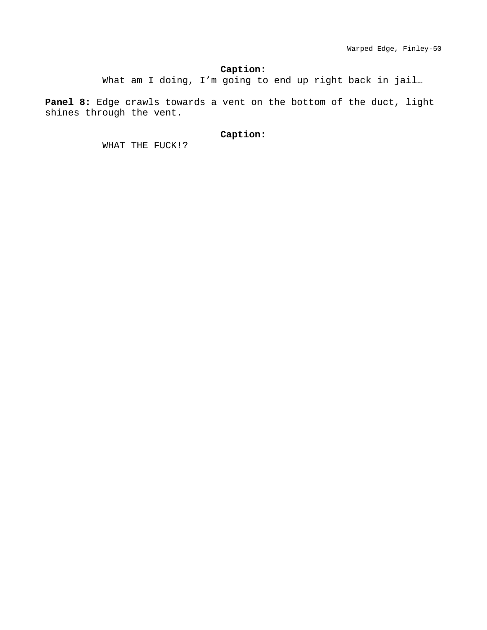Warped Edge, Finley-50

# **Caption:**

What am I doing, I'm going to end up right back in jail...

**Panel 8:** Edge crawls towards a vent on the bottom of the duct, light shines through the vent.

**Caption:**

WHAT THE FUCK!?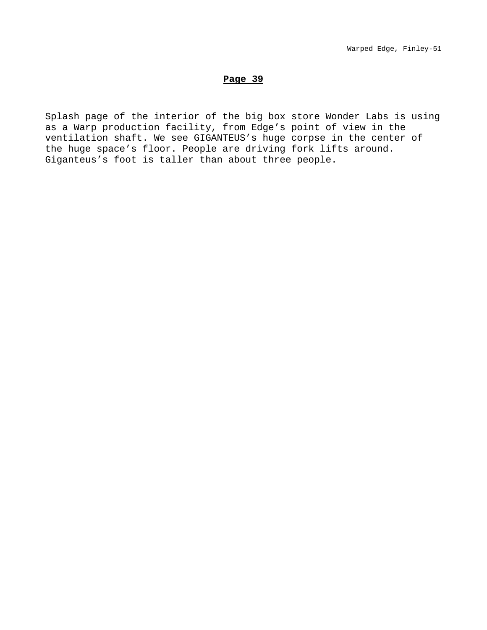Splash page of the interior of the big box store Wonder Labs is using as a Warp production facility, from Edge's point of view in the ventilation shaft. We see GIGANTEUS's huge corpse in the center of the huge space's floor. People are driving fork lifts around. Giganteus's foot is taller than about three people.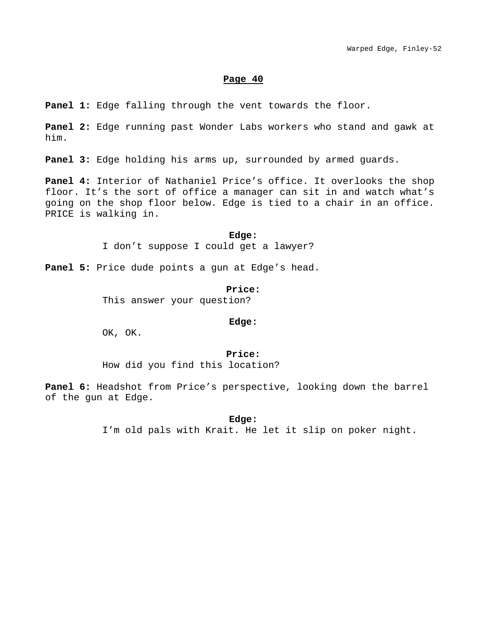**Panel 1:** Edge falling through the vent towards the floor.

**Panel 2:** Edge running past Wonder Labs workers who stand and gawk at him.

**Panel 3:** Edge holding his arms up, surrounded by armed guards.

**Panel 4:** Interior of Nathaniel Price's office. It overlooks the shop floor. It's the sort of office a manager can sit in and watch what's going on the shop floor below. Edge is tied to a chair in an office. PRICE is walking in.

### **Edge:**

I don't suppose I could get a lawyer?

**Panel 5:** Price dude points a gun at Edge's head.

### **Price:**

This answer your question?

### **Edge:**

OK, OK.

## **Price:**

How did you find this location?

**Panel 6:** Headshot from Price's perspective, looking down the barrel of the gun at Edge.

#### **Edge:**

I'm old pals with Krait. He let it slip on poker night.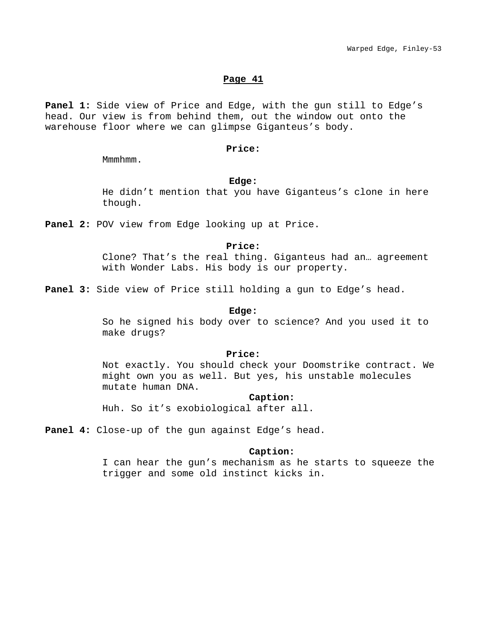**Panel 1:** Side view of Price and Edge, with the gun still to Edge's head. Our view is from behind them, out the window out onto the warehouse floor where we can glimpse Giganteus's body.

### **Price:**

Mmmhmm.

### **Edge:**

He didn't mention that you have Giganteus's clone in here though.

**Panel 2:** POV view from Edge looking up at Price.

### **Price:**

Clone? That's the real thing. Giganteus had an… agreement with Wonder Labs. His body is our property.

**Panel 3:** Side view of Price still holding a gun to Edge's head.

### **Edge:**

So he signed his body over to science? And you used it to make drugs?

## **Price:**

Not exactly. You should check your Doomstrike contract. We might own you as well. But yes, his unstable molecules mutate human DNA.

### **Caption:**

Huh. So it's exobiological after all.

**Panel 4:** Close-up of the gun against Edge's head.

### **Caption:**

I can hear the gun's mechanism as he starts to squeeze the trigger and some old instinct kicks in.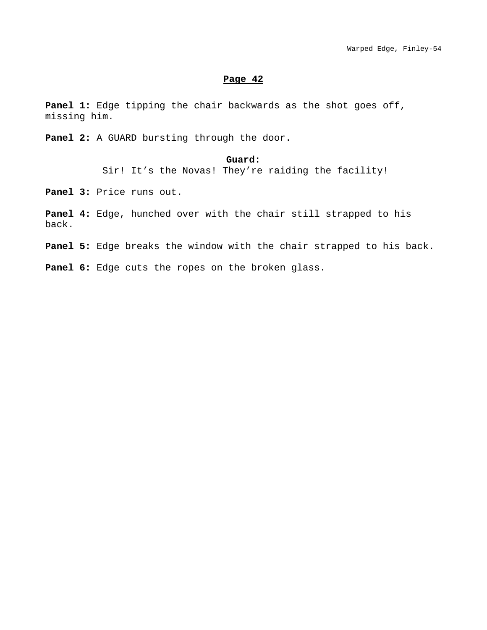**Panel 1:** Edge tipping the chair backwards as the shot goes off, missing him.

**Panel 2:** A GUARD bursting through the door.

## **Guard:**

Sir! It's the Novas! They're raiding the facility!

**Panel 3:** Price runs out.

**Panel 4:** Edge, hunched over with the chair still strapped to his back.

**Panel 5:** Edge breaks the window with the chair strapped to his back.

Panel 6: Edge cuts the ropes on the broken glass.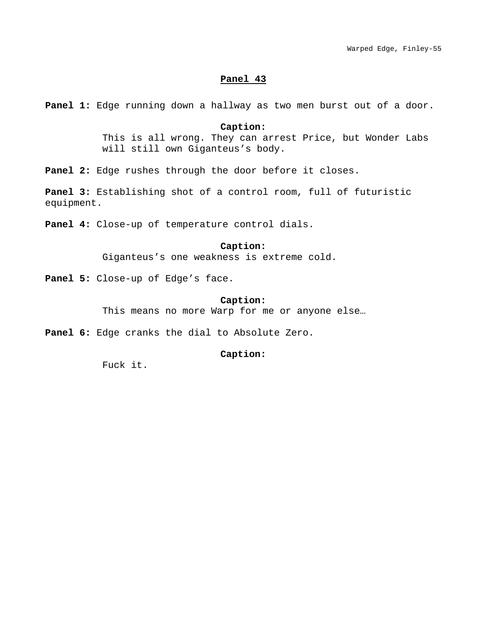## **Panel 43**

Panel 1: Edge running down a hallway as two men burst out of a door.

## **Caption:**

This is all wrong. They can arrest Price, but Wonder Labs will still own Giganteus's body.

**Panel 2:** Edge rushes through the door before it closes.

**Panel 3:** Establishing shot of a control room, full of futuristic equipment.

**Panel 4:** Close-up of temperature control dials.

### **Caption:**

Giganteus's one weakness is extreme cold.

**Panel 5:** Close-up of Edge's face.

### **Caption:**

This means no more Warp for me or anyone else…

**Panel 6:** Edge cranks the dial to Absolute Zero.

## **Caption:**

Fuck it.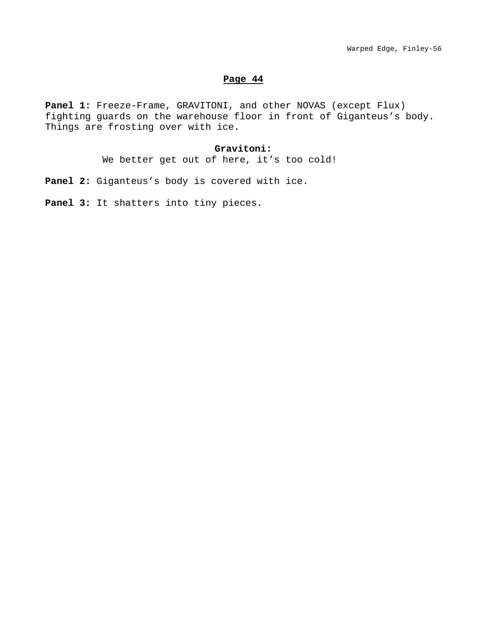**Panel 1:** Freeze-Frame, GRAVITONI, and other NOVAS (except Flux) fighting guards on the warehouse floor in front of Giganteus's body. Things are frosting over with ice.

## **Gravitoni:**

We better get out of here, it's too cold!

**Panel 2:** Giganteus's body is covered with ice.

**Panel 3:** It shatters into tiny pieces.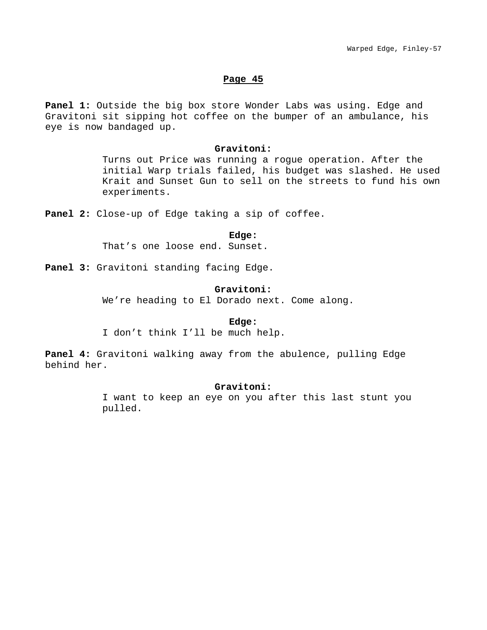**Panel 1:** Outside the big box store Wonder Labs was using. Edge and Gravitoni sit sipping hot coffee on the bumper of an ambulance, his eye is now bandaged up.

## **Gravitoni:**

Turns out Price was running a rogue operation. After the initial Warp trials failed, his budget was slashed. He used Krait and Sunset Gun to sell on the streets to fund his own experiments.

**Panel 2:** Close-up of Edge taking a sip of coffee.

## **Edge:**

That's one loose end. Sunset.

**Panel 3:** Gravitoni standing facing Edge.

## **Gravitoni:**

We're heading to El Dorado next. Come along.

### **Edge:**

I don't think I'll be much help.

**Panel 4:** Gravitoni walking away from the abulence, pulling Edge behind her.

### **Gravitoni:**

I want to keep an eye on you after this last stunt you pulled.